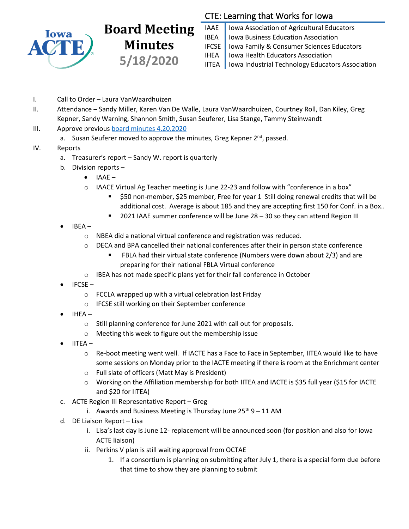

## **Board Meeting Minutes 5/18/2020**

## CTE: Learning that Works for Iowa

IAAE | Iowa Association of Agricultural Educators **IBEA** | Iowa Business Education Association IFCSE Iowa Family & Consumer Sciences Educators IHEA | Iowa Health Educators Association IITEA | Iowa Industrial Technology Educators Association

- I. Call to Order Laura VanWaardhuizen
- II. Attendance Sandy Miller, Karen Van De Walle, Laura VanWaardhuizen, Courtney Roll, Dan Kiley, Greg Kepner, Sandy Warning, Shannon Smith, Susan Seuferer, Lisa Stange, Tammy Steinwandt
- III. Approve previous [board minutes 4.20.2020](https://drive.google.com/file/d/1aI6tCE_59tsGZ7G2_DwxrskZ2WzldQIM/view?usp=sharing)
	- a. Susan Seuferer moved to approve the minutes, Greg Kepner 2<sup>nd</sup>, passed.

## IV. Reports

- a. Treasurer's report Sandy W. report is quarterly
- b. Division reports
	- $\bullet$  IAAE –
	- $\circ$  IAACE Virtual Ag Teacher meeting is June 22-23 and follow with "conference in a box"
		- \$50 non-member, \$25 member, Free for year 1 Still doing renewal credits that will be additional cost. Average is about 185 and they are accepting first 150 for Conf. in a Box..
		- 2021 IAAE summer conference will be June 28 30 so they can attend Region III
- IBEA
	- o NBEA did a national virtual conference and registration was reduced.
	- o DECA and BPA cancelled their national conferences after their in person state conference
		- FBLA had their virtual state conference (Numbers were down about 2/3) and are
			- preparing for their national FBLA Virtual conference
	- o IBEA has not made specific plans yet for their fall conference in October
- IFCSE
	- o FCCLA wrapped up with a virtual celebration last Friday
	- o IFCSE still working on their September conference
- IHEA
	- o Still planning conference for June 2021 with call out for proposals.
	- o Meeting this week to figure out the membership issue
- IITEA
	- $\circ$  Re-boot meeting went well. If IACTE has a Face to Face in September, IITEA would like to have some sessions on Monday prior to the IACTE meeting if there is room at the Enrichment center
	- o Full slate of officers (Matt May is President)
	- o Working on the Affiliation membership for both IITEA and IACTE is \$35 full year (\$15 for IACTE and \$20 for IITEA)
- c. ACTE Region III Representative Report Greg
	- i. Awards and Business Meeting is Thursday June  $25<sup>th</sup> 9 11$  AM
- d. DE Liaison Report Lisa
	- i. Lisa's last day is June 12- replacement will be announced soon (for position and also for Iowa ACTE liaison)
	- ii. Perkins V plan is still waiting approval from OCTAE
		- 1. If a consortium is planning on submitting after July 1, there is a special form due before that time to show they are planning to submit